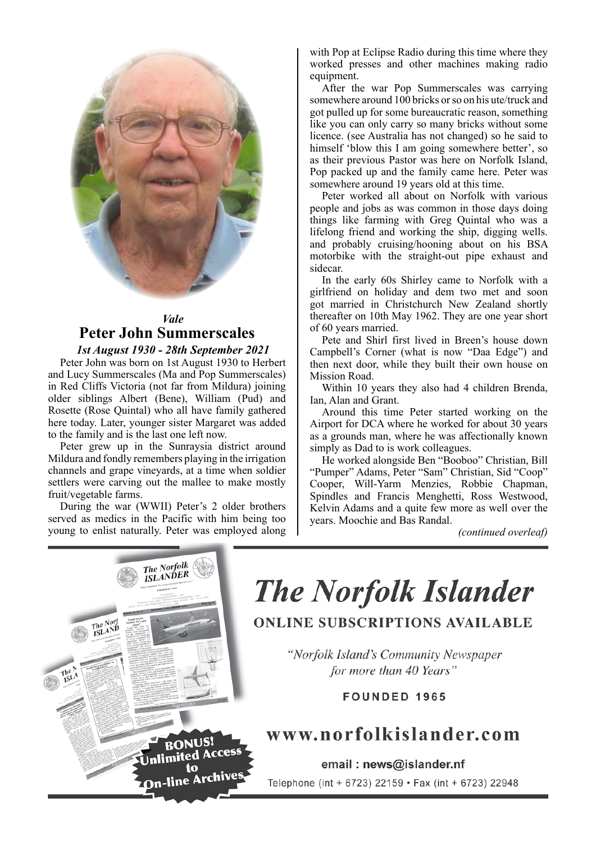

## *Vale* **Peter John Summerscales** *1st August 1930 - 28th September 2021* 1st August 1930 - 28th September 2021

Peter John was born on 1st August 1930 to Herbert and Lucy Summerscales (Ma and Pop Summerscales) in Red Cliffs Victoria (not far from Mildura) joining older siblings Albert (Bene), William (Pud) and Rosette (Rose Quintal) who all have family gathered here today. Later, younger sister Margaret was added to the family and is the last one left now.

Peter grew up in the Sunraysia district around Mildura and fondly remembers playing in the irrigation channels and grape vineyards, at a time when soldier settlers were carving out the mallee to make mostly fruit/vegetable farms.

During the war (WWII) Peter's 2 older brothers served as medics in the Pacific with him being too young to enlist naturally. Peter was employed along with Pop at Eclipse Radio during this time where they worked presses and other machines making radio equipment.

After the war Pop Summerscales was carrying somewhere around 100 bricks or so on his ute/truck and got pulled up for some bureaucratic reason, something like you can only carry so many bricks without some licence. (see Australia has not changed) so he said to himself 'blow this I am going somewhere better', so as their previous Pastor was here on Norfolk Island, Pop packed up and the family came here. Peter was somewhere around 19 years old at this time.

Peter worked all about on Norfolk with various people and jobs as was common in those days doing things like farming with Greg Quintal who was a lifelong friend and working the ship, digging wells. and probably cruising/hooning about on his BSA motorbike with the straight-out pipe exhaust and sidecar.

In the early 60s Shirley came to Norfolk with a girlfriend on holiday and dem two met and soon got married in Christchurch New Zealand shortly thereafter on 10th May 1962. They are one year short of 60 years married.

Pete and Shirl first lived in Breen's house down Campbell's Corner (what is now "Daa Edge") and then next door, while they built their own house on Mission Road.

Within 10 years they also had 4 children Brenda, Ian, Alan and Grant.

Around this time Peter started working on the Airport for DCA where he worked for about 30 years as a grounds man, where he was affectionally known simply as Dad to is work colleagues.

He worked alongside Ben "Booboo" Christian, Bill "Pumper" Adams, Peter "Sam" Christian, Sid "Coop" Cooper, Will-Yarm Menzies, Robbie Chapman, Spindles and Francis Menghetti, Ross Westwood, Kelvin Adams and a quite few more as well over the years. Moochie and Bas Randal.

*(continued overleaf)*